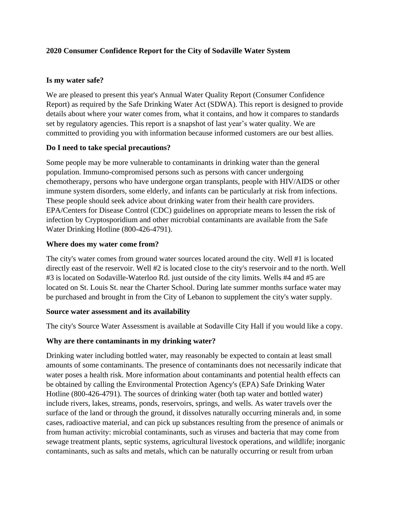# **2020 Consumer Confidence Report for the City of Sodaville Water System**

#### **Is my water safe?**

We are pleased to present this year's Annual Water Quality Report (Consumer Confidence Report) as required by the Safe Drinking Water Act (SDWA). This report is designed to provide details about where your water comes from, what it contains, and how it compares to standards set by regulatory agencies. This report is a snapshot of last year's water quality. We are committed to providing you with information because informed customers are our best allies.

## **Do I need to take special precautions?**

Some people may be more vulnerable to contaminants in drinking water than the general population. Immuno-compromised persons such as persons with cancer undergoing chemotherapy, persons who have undergone organ transplants, people with HIV/AIDS or other immune system disorders, some elderly, and infants can be particularly at risk from infections. These people should seek advice about drinking water from their health care providers. EPA/Centers for Disease Control (CDC) guidelines on appropriate means to lessen the risk of infection by Cryptosporidium and other microbial contaminants are available from the Safe Water Drinking Hotline (800-426-4791).

#### **Where does my water come from?**

The city's water comes from ground water sources located around the city. Well #1 is located directly east of the reservoir. Well #2 is located close to the city's reservoir and to the north. Well #3 is located on Sodaville-Waterloo Rd. just outside of the city limits. Wells #4 and #5 are located on St. Louis St. near the Charter School. During late summer months surface water may be purchased and brought in from the City of Lebanon to supplement the city's water supply.

#### **Source water assessment and its availability**

The city's Source Water Assessment is available at Sodaville City Hall if you would like a copy.

## **Why are there contaminants in my drinking water?**

Drinking water including bottled water, may reasonably be expected to contain at least small amounts of some contaminants. The presence of contaminants does not necessarily indicate that water poses a health risk. More information about contaminants and potential health effects can be obtained by calling the Environmental Protection Agency's (EPA) Safe Drinking Water Hotline (800-426-4791). The sources of drinking water (both tap water and bottled water) include rivers, lakes, streams, ponds, reservoirs, springs, and wells. As water travels over the surface of the land or through the ground, it dissolves naturally occurring minerals and, in some cases, radioactive material, and can pick up substances resulting from the presence of animals or from human activity: microbial contaminants, such as viruses and bacteria that may come from sewage treatment plants, septic systems, agricultural livestock operations, and wildlife; inorganic contaminants, such as salts and metals, which can be naturally occurring or result from urban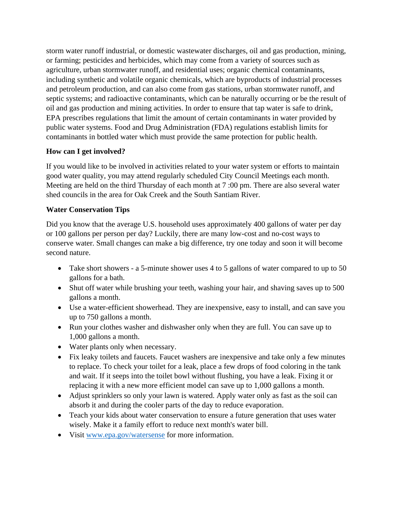storm water runoff industrial, or domestic wastewater discharges, oil and gas production, mining, or farming; pesticides and herbicides, which may come from a variety of sources such as agriculture, urban stormwater runoff, and residential uses; organic chemical contaminants, including synthetic and volatile organic chemicals, which are byproducts of industrial processes and petroleum production, and can also come from gas stations, urban stormwater runoff, and septic systems; and radioactive contaminants, which can be naturally occurring or be the result of oil and gas production and mining activities. In order to ensure that tap water is safe to drink, EPA prescribes regulations that limit the amount of certain contaminants in water provided by public water systems. Food and Drug Administration (FDA) regulations establish limits for contaminants in bottled water which must provide the same protection for public health.

# **How can I get involved?**

If you would like to be involved in activities related to your water system or efforts to maintain good water quality, you may attend regularly scheduled City Council Meetings each month. Meeting are held on the third Thursday of each month at 7:00 pm. There are also several water shed councils in the area for Oak Creek and the South Santiam River.

## **Water Conservation Tips**

Did you know that the average U.S. household uses approximately 400 gallons of water per day or 100 gallons per person per day? Luckily, there are many low-cost and no-cost ways to conserve water. Small changes can make a big difference, try one today and soon it will become second nature.

- Take short showers a 5-minute shower uses 4 to 5 gallons of water compared to up to 50 gallons for a bath.
- Shut off water while brushing your teeth, washing your hair, and shaving saves up to 500 gallons a month.
- Use a water-efficient showerhead. They are inexpensive, easy to install, and can save you up to 750 gallons a month.
- Run your clothes washer and dishwasher only when they are full. You can save up to 1,000 gallons a month.
- Water plants only when necessary.
- Fix leaky toilets and faucets. Faucet washers are inexpensive and take only a few minutes to replace. To check your toilet for a leak, place a few drops of food coloring in the tank and wait. If it seeps into the toilet bowl without flushing, you have a leak. Fixing it or replacing it with a new more efficient model can save up to 1,000 gallons a month.
- Adjust sprinklers so only your lawn is watered. Apply water only as fast as the soil can absorb it and during the cooler parts of the day to reduce evaporation.
- Teach your kids about water conservation to ensure a future generation that uses water wisely. Make it a family effort to reduce next month's water bill.
- Visit<www.epa.gov/watersense> for more information.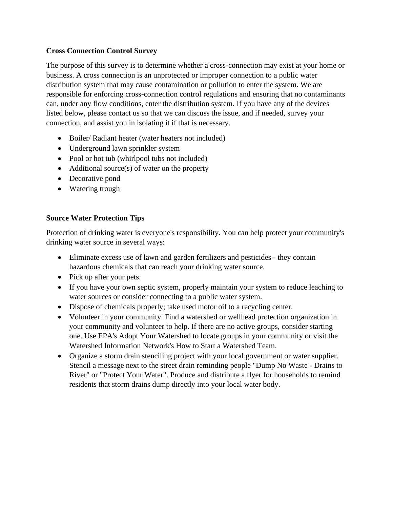# **Cross Connection Control Survey**

The purpose of this survey is to determine whether a cross-connection may exist at your home or business. A cross connection is an unprotected or improper connection to a public water distribution system that may cause contamination or pollution to enter the system. We are responsible for enforcing cross-connection control regulations and ensuring that no contaminants can, under any flow conditions, enter the distribution system. If you have any of the devices listed below, please contact us so that we can discuss the issue, and if needed, survey your connection, and assist you in isolating it if that is necessary.

- Boiler/Radiant heater (water heaters not included)
- Underground lawn sprinkler system
- Pool or hot tub (whirlpool tubs not included)
- Additional source(s) of water on the property
- Decorative pond
- Watering trough

## **Source Water Protection Tips**

Protection of drinking water is everyone's responsibility. You can help protect your community's drinking water source in several ways:

- Eliminate excess use of lawn and garden fertilizers and pesticides they contain hazardous chemicals that can reach your drinking water source.
- Pick up after your pets.
- If you have your own septic system, properly maintain your system to reduce leaching to water sources or consider connecting to a public water system.
- Dispose of chemicals properly; take used motor oil to a recycling center.
- Volunteer in your community. Find a watershed or wellhead protection organization in your community and volunteer to help. If there are no active groups, consider starting one. Use EPA's Adopt Your Watershed to locate groups in your community or visit the Watershed Information Network's How to Start a Watershed Team.
- Organize a storm drain stenciling project with your local government or water supplier. Stencil a message next to the street drain reminding people "Dump No Waste - Drains to River" or "Protect Your Water". Produce and distribute a flyer for households to remind residents that storm drains dump directly into your local water body.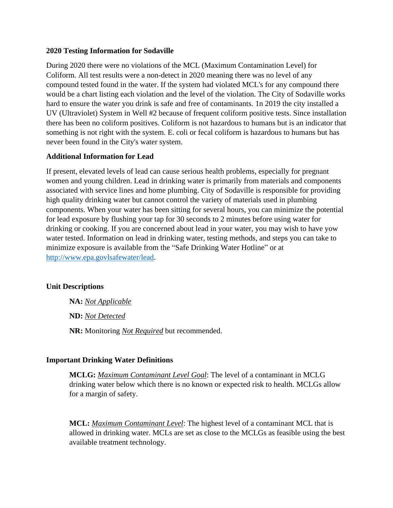#### **2020 Testing Information for Sodaville**

During 2020 there were no violations of the MCL (Maximum Contamination Level) for Coliform. All test results were a non-detect in 2020 meaning there was no level of any compound tested found in the water. If the system had violated MCL's for any compound there would be a chart listing each violation and the level of the violation. The City of Sodaville works hard to ensure the water you drink is safe and free of contaminants. 1n 2019 the city installed a UV (Ultraviolet) System in Well #2 because of frequent coliform positive tests. Since installation there has been no coliform positives. Coliform is not hazardous to humans but is an indicator that something is not right with the system. E. coli or fecal coliform is hazardous to humans but has never been found in the City's water system.

## **Additional Information for Lead**

If present, elevated levels of lead can cause serious health problems, especially for pregnant women and young children. Lead in drinking water is primarily from materials and components associated with service lines and home plumbing. City of Sodaville is responsible for providing high quality drinking water but cannot control the variety of materials used in plumbing components. When your water has been sitting for several hours, you can minimize the potential for lead exposure by flushing your tap for 30 seconds to 2 minutes before using water for drinking or cooking. If you are concerned about lead in your water, you may wish to have yow water tested. Information on lead in drinking water, testing methods, and steps you can take to minimize exposure is available from the "Safe Drinking Water Hotline" or at [http://www.epa.govlsafewater/lead.](http://www.epa.govlsafewater/lead)

## **Unit Descriptions**

**NA:** *Not Applicable*

**ND:** *Not Detected*

**NR:** Monitoring *Not Required* but recommended.

## **Important Drinking Water Definitions**

**MCLG:** *Maximum Contaminant Level Goal*: The level of a contaminant in MCLG drinking water below which there is no known or expected risk to health. MCLGs allow for a margin of safety.

**MCL:** *Maximum Contaminant Level*: The highest level of a contaminant MCL that is allowed in drinking water. MCLs are set as close to the MCLGs as feasible using the best available treatment technology.